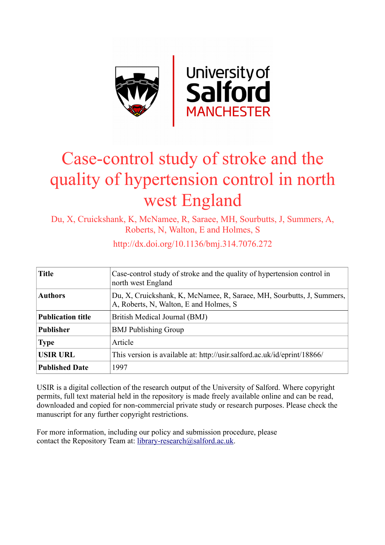

# Case-control study of stroke and the quality of hypertension control in north west England

Du, X, Cruickshank, K, McNamee, R, Saraee, MH, Sourbutts, J, Summers, A, Roberts, N, Walton, E and Holmes, S

| <b>Title</b>             | Case-control study of stroke and the quality of hypertension control in<br>north west England                   |
|--------------------------|-----------------------------------------------------------------------------------------------------------------|
| <b>Authors</b>           | Du, X, Cruickshank, K, McNamee, R, Saraee, MH, Sourbutts, J, Summers,<br>A, Roberts, N, Walton, E and Holmes, S |
| <b>Publication title</b> | British Medical Journal (BMJ)                                                                                   |
| Publisher                | <b>BMJ</b> Publishing Group                                                                                     |
| <b>Type</b>              | Article                                                                                                         |
| <b>USIR URL</b>          | This version is available at: http://usir.salford.ac.uk/id/eprint/18866/                                        |
| <b>Published Date</b>    | 1997                                                                                                            |

http://dx.doi.org/10.1136/bmj.314.7076.272

USIR is a digital collection of the research output of the University of Salford. Where copyright permits, full text material held in the repository is made freely available online and can be read, downloaded and copied for non-commercial private study or research purposes. Please check the manuscript for any further copyright restrictions.

For more information, including our policy and submission procedure, please contact the Repository Team at: [library-research@salford.ac.uk.](mailto:library-research@salford.ac.uk)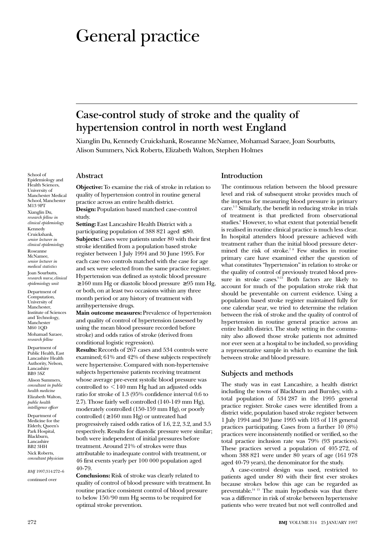## General practice

### **Case-control study of stroke and the quality of hypertension control in north west England**

Xianglin Du, Kennedy Cruickshank, Roseanne McNamee, Mohamad Saraee, Joan Sourbutts, Alison Summers, Nick Roberts, Elizabeth Walton, Stephen Holmes

School of Epidemiology and Health Sciences, University of Manchester Medical School, Manchester M13 9PT Xianglin Du,

*research fellow in clinical epidemiology* Kennedy Cruickshank, *senior lecturer in clinical epidemiology* Roseanne McNamee, *senior lecturer in medical statistics* Joan Sourbutts, *research nurse, clinical epidemiology unit*

Department of Computation, University of Manchester, Institute of Sciences and Technology, Manchester M60 1QD Mohamad Saraee, *research fellow*

Department of Public Health, East Lancashire Health Authority, Nelson, Lancashire BB9 5SZ

Alison Summers, *consultant in public health medicine* Elizabeth Walton, *public health intelligence officer*

Department of Medicine for the Elderly, Queen's Park Hospital, Blackburn, Lancashire BB2 3HH Nick Roberts, *consultant physician*

*BMJ* 1997;314:272–6

continued over

#### **Abstract**

**Objective:** To examine the risk of stroke in relation to quality of hypertension control in routine general practice across an entire health district.

**Design:** Population based matched case-control study.

**Setting:** East Lancashire Health District with a participating population of 388 821 aged  $\leq 80$ . **Subjects:** Cases were patients under 80 with their first stroke identified from a population based stroke register between 1 July 1994 and 30 June 1995. For each case two controls matched with the case for age and sex were selected from the same practice register. Hypertension was defined as systolic blood pressure  $\geq 160$  mm Hg or diastolic blood pressure  $\geq 95$  mm Hg, or both, on at least two occasions within any three month period or any history of treatment with antihypertensive drugs.

**Main outcome measures:** Prevalence of hypertension and quality of control of hypertension (assessed by using the mean blood pressure recorded before stroke) and odds ratios of stroke (derived from conditional logistic regression).

**Results:** Records of 267 cases and 534 controls were examined; 61% and 42% of these subjects respectively were hypertensive. Compared with non-hypertensive subjects hypertensive patients receiving treatment whose average pre-event systolic blood pressure was controlled to  $\leq$  140 mm Hg had an adjusted odds ratio for stroke of 1.3 (95% confidence interval 0.6 to 2.7). Those fairly well controlled (140-149 mm Hg), moderately controlled (150-159 mm Hg), or poorly controlled ( $\geq 160$  mm Hg) or untreated had progressively raised odds ratios of 1.6, 2.2, 3.2, and 3.5 respectively. Results for diastolic pressure were similar; both were independent of initial pressures before treatment. Around 21% of strokes were thus attributable to inadequate control with treatment, or 46 first events yearly per 100 000 population aged 40-79.

**Conclusions:** Risk of stroke was clearly related to quality of control of blood pressure with treatment. In routine practice consistent control of blood pressure to below 150/90 mm Hg seems to be required for optimal stroke prevention.

#### **Introduction**

The continuous relation between the blood pressure level and risk of subsequent stroke provides much of the impetus for measuring blood pressure in primary care.1-5 Similarly, the benefit in reducing stroke in trials of treatment is that predicted from observational studies.6 However, to what extent that potential benefit is realised in routine clinical practice is much less clear. In hospital attenders blood pressure achieved with treatment rather than the initial blood pressure determined the risk of stroke.<sup>78</sup> Few studies in routine primary care have examined either the question of what constitutes "hypertension" in relation to stroke or the quality of control of previously treated blood pressure in stroke cases. $9-13$  Both factors are likely to account for much of the population stroke risk that should be preventable on current evidence. Using a population based stroke register maintained fully for one calendar year, we tried to determine the relation between the risk of stroke and the quality of control of hypertension in routine general practice across an entire health district. The study setting in the community also allowed those stroke patients not admitted nor ever seen at a hospital to be included, so providing a representative sample in which to examine the link between stroke and blood pressure.

#### **Subjects and methods**

The study was in east Lancashire, a health district including the towns of Blackburn and Burnley, with a total population of 534 287 in the 1995 general practice register. Stroke cases were identified from a district wide, population based stroke register between 1 July 1994 and 30 June 1995 with 103 of 118 general practices participating. Cases from a further 10 (8%) practices were inconsistently notified or verified, so the total practice inclusion rate was 79% (93 practices). These practices served a population of 405 272, of whom 388 821 were under 80 years of age (161 978 aged 40-79 years), the denominator for the study.

A case-control design was used, restricted to patients aged under 80 with their first ever strokes because strokes below this age can be regarded as preventable.14 15 The main hypothesis was that there was a difference in risk of stroke between hypertensive patients who were treated but not well controlled and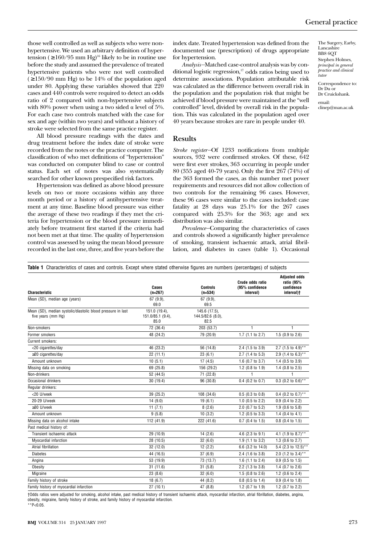those well controlled as well as subjects who were nonhypertensive. We used an arbitrary definition of hypertension ( $\geq 160/95$  mm Hg)<sup>16</sup> likely to be in routine use before the study and assumed the prevalence of treated hypertensive patients who were not well controlled  $( \ge 150/90 \text{ mm Hg})$  to be 14% of the population aged under 80. Applying these variables showed that 220 cases and 440 controls were required to detect an odds ratio of 2 compared with non-hypertensive subjects with 80% power when using a two sided  $\alpha$  level of 5%. For each case two controls matched with the case for sex and age (within two years) and without a history of stroke were selected from the same practice register.

All blood pressure readings with the dates and drug treatment before the index date of stroke were recorded from the notes or the practice computer. The classification of who met definitions of "hypertension" was conducted on computer blind to case or control status. Each set of notes was also systematically searched for other known prespecified risk factors.

Hypertension was defined as above blood pressure levels on two or more occasions within any three month period or a history of antihypertensive treatment at any time. Baseline blood pressure was either the average of these two readings if they met the criteria for hypertension or the blood pressure immediately before treatment first started if the criteria had not been met at that time. The quality of hypertension control was assessed by using the mean blood pressure recorded in the last one, three, and five years before the

index date. Treated hypertension was defined from the documented use (prescription) of drugs appropriate for hypertension.

*Analysis—*Matched case-control analysis was by conditional logistic regression,<sup>17</sup> odds ratios being used to determine associations. Population attributable risk was calculated as the difference between overall risk in the population and the population risk that might be achieved if blood pressure were maintained at the "well controlled" level, divided by overall risk in the population. This was calculated in the population aged over 40 years because strokes are rare in people under 40.

The Surgery, Earby, Lancashire BB8 6OT Stephen Holmes, *principal in general practice and clinical tutor* Correspondence to:

Dr Du or Dr Cruickshank. email: clinep@man.ac.uk

#### **Results**

*Stroke register—*Of 1233 notifications from multiple sources, 932 were confirmed strokes. Of these, 642 were first ever strokes, 363 occurring in people under 80 (355 aged 40-79 years). Only the first 267 (74%) of the 363 formed the cases, as this number met power requirements and resources did not allow collection of two controls for the remaining 96 cases. However, these 96 cases were similar to the cases included: case fatality at 28 days was 25.1% for the 267 cases compared with 25.3% for the 363; age and sex distribution was also similar.

*Prevalence—*Comparing the characteristics of cases and controls showed a significantly higher prevalence of smoking, transient ischaemic attack, atrial fibrillation, and diabetes in cases (table 1). Occasional

|  |  | Table 1 Characteristics of cases and controls. Except where stated otherwise figures are numbers (percentages) of subjects |
|--|--|----------------------------------------------------------------------------------------------------------------------------|
|  |  |                                                                                                                            |

| Characteristic                                                                    | Cases<br>$(n=267)$                         | <b>Controls</b><br>$(n=534)$               | Crude odds ratio<br>(95% confidence<br>interval) | <b>Adjusted odds</b><br>ratio (95%<br>confidence<br>interval)† |
|-----------------------------------------------------------------------------------|--------------------------------------------|--------------------------------------------|--------------------------------------------------|----------------------------------------------------------------|
| Mean (SD), median age (years)                                                     | 67 (9.9),<br>69.0                          | 67 (9.9),<br>69.5                          |                                                  |                                                                |
| Mean (SD), median systolic/diastolic blood pressure in last<br>five years (mm Hq) | 151.0 (19.4),<br>151.0/85.1 (9.4),<br>85.0 | 145.6 (17.5).<br>144.5/82.6 (8.0),<br>82.5 |                                                  |                                                                |
| Non-smokers                                                                       | 72 (36.4)                                  | 203 (53.7)                                 | 1                                                | 1                                                              |
| Former smokers                                                                    | 48 (24.2)                                  | 79 (20.9)                                  | 1.7 (1.1 to 2.7)                                 | 1.5 (0.9 to 2.6)                                               |
| <b>Current smokers:</b>                                                           |                                            |                                            |                                                  |                                                                |
| <20 cigarettes/day                                                                | 46 (23.2)                                  | 56 (14.8)                                  | 2.4 (1.5 to 3.9)                                 | 2.7 (1.5 to 4.9)**                                             |
| $\geq$ 20 cigarettes/day                                                          | 22(11.1)                                   | 23(6.1)                                    | 2.7 (1.4 to 5.3)                                 | 2.9 (1.4 to 6.3)**                                             |
| Amount unknown                                                                    | 10(5.1)                                    | 17(4.5)                                    | 1.6 (0.7 to $3.7$ )                              | $1.4$ (0.5 to 3.9)                                             |
| Missing data on smoking                                                           | 69 (25.8)                                  | 156 (29.2)                                 | 1.2 (0.8 to 1.9)                                 | 1.4 $(0.8 \text{ to } 2.5)$                                    |
| Non-drinkers                                                                      | 52 (44.5)                                  | 71 (22.8)                                  |                                                  | 1                                                              |
| Occasional drinkers                                                               | 30(19.4)                                   | 96 (30.8)                                  | $0.4$ (0.2 to 0.7)                               | 0.3 (0.2 to $0.6$ )**                                          |
| Regular drinkers:                                                                 |                                            |                                            |                                                  |                                                                |
| <20 U/week                                                                        | 39 (25.2)                                  | 108 (34.6)                                 | $0.5$ (0.3 to 0.8)                               | 0.4 (0.2 to $0.7$ )**                                          |
| 20-29 U/week                                                                      | 14(9.0)                                    | 19(6.1)                                    | 1.0 $(0.5$ to 2.2)                               | $0.9$ (0.4 to 2.2)                                             |
| ≥30 U/week                                                                        | 11(7.1)                                    | 8(2.6)                                     | 2.0 (0.7 to 5.2)                                 | 1.9 (0.6 to 5.8)                                               |
| Amount unknown                                                                    | 9(5.8)                                     | 10(3.2)                                    | 1.2 (0.5 to $3.3$ )                              | 1.4 $(0.4 \text{ to } 4.1)$                                    |
| Missing data on alcohol intake                                                    | 112 (41.9)                                 | 222 (41.6)                                 | $0.7$ (0.4 to 1.5)                               | $0.8$ (0.4 to 1.5)                                             |
| Past medical history of:                                                          |                                            |                                            |                                                  |                                                                |
| Transient ischaemic attack                                                        | 29 (10.9)                                  | 14(2.6)                                    | 4.6 (2.3 to 9.1)                                 | 4.1 (1.9 to 8.7)**                                             |
| Myocardial infarction                                                             | 28 (10.5)                                  | 32(6.0)                                    | 1.9 (1.1 to 3.2)                                 | 1.3 (0.6 to 2.7)                                               |
| Atrial fibrillation                                                               | 32 (12.0)                                  | 12(2.2)                                    | 6.6 (3.2 to 14.0)                                | 5.4 (2.3 to 12.5)**                                            |
| <b>Diabetes</b>                                                                   | 44 (16.5)                                  | 37(6.9)                                    | 2.4 (1.6 to 3.8)                                 | 2.0 (1.2 to 3.4)**                                             |
| Angina                                                                            | 53 (19.9)                                  | 73 (13.7)                                  | 1.6 $(1.1$ to 2.4)                               | $0.9$ (0.5 to 1.5)                                             |
| Obesity                                                                           | 31(11.6)                                   | 31(5.8)                                    | 2.2 (1.3 to 3.8)                                 | 1.4 $(0.7 \text{ to } 2.6)$                                    |
| Migraine                                                                          | 23(8.6)                                    | 32(6.0)                                    | 1.5 (0.8 to 2.6)                                 | 1.2 (0.6 to 2.4)                                               |
| Family history of stroke                                                          | 18(6.7)                                    | 44 (8.2)                                   | $0.8$ (0.5 to 1.4)                               | $0.9$ (0.4 to 1.8)                                             |
| Family history of myocardial infarction                                           | 27(10.1)                                   | 47 (8.8)                                   | 1.2 (0.7 to 1.9)                                 | 1.2 (0.7 to 2.2)                                               |

†Odds ratios were adjusted for smoking, alcohol intake, past medical history of transient ischaemic attack, myocardial infarction, atrial fibrillation, diabetes, angina, obesity, migraine, family history of stroke, and family history of myocardial infarction.

\*\*P<0.05.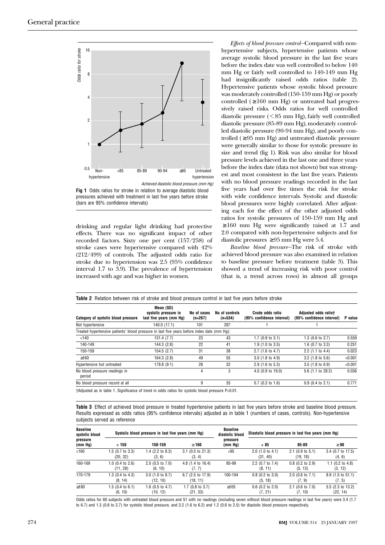

**Fig 1** Odds ratios for stroke in relation to average diastolic blood pressures achieved with treatment in last five years before stroke (bars are 95% confidence intervals)

drinking and regular light drinking had protective effects. There was no significant impact of other recorded factors. Sixty one per cent (157/258) of stroke cases were hypertensive compared with 42% (212/499) of controls. The adjusted odds ratio for stroke due to hypertension was 2.5 (95% confidence interval 1.7 to 3.9). The prevalence of hypertension increased with age and was higher in women.

*Effects of blood pressure control—*Compared with nonhypertensive subjects, hypertensive patients whose average systolic blood pressure in the last five years before the index date was well controlled to below 140 mm Hg or fairly well controlled to 140-149 mm Hg had insignificantly raised odds ratios (table 2). Hypertensive patients whose systolic blood pressure was moderately controlled (150-159 mm Hg) or poorly controlled  $( \ge 160 \text{ mm Hg})$  or untreated had progressively raised risks. Odds ratios for well controlled diastolic pressure  $(< 85$  mm Hg), fairly well controlled diastolic pressure (85-89 mm Hg), moderately controlled diastolic pressure (90-94 mm Hg), and poorly controlled ( $\geq$  95 mm Hg) and untreated diastolic pressure were generally similar to those for systolic pressure in size and trend (fig 1). Risk was also similar for blood pressure levels achieved in the last one and three years before the index date (data not shown) but was strongest and most consistent in the last five years. Patients with no blood pressure readings recorded in the last five years had over five times the risk for stroke with wide confidence intervals. Systolic and diastolic blood pressures were highly correlated. After adjusting each for the effect of the other adjusted odds ratios for systolic pressures of 150-159 mm Hg and  $\geq 160$  mm Hg were significantly raised at 1.7 and 2.0 compared with non-hypertensive subjects and for diastolic pressures  $≥ 95$  mm Hg were 5.4.

*Baseline blood pressure—*The risk of stroke with achieved blood pressure was also examined in relation to baseline pressure before treatment (table 3). This showed a trend of increasing risk with poor control (that is, a trend across rows) in almost all groups

| Category of systolic blood pressure                                                         | Mean (SD)<br>systolic pressure in<br>last five years (mm Hq) | No of cases<br>$(n=267)$ | No of controls<br>$(n=534)$ | Crude odds ratio<br>(95% confidence interval) | Adjusted odds ratiot<br>(95% confidence interval) | P value |
|---------------------------------------------------------------------------------------------|--------------------------------------------------------------|--------------------------|-----------------------------|-----------------------------------------------|---------------------------------------------------|---------|
| Not hypertensive                                                                            | 140.0 (17.1)                                                 | 101                      | 287                         |                                               |                                                   |         |
| Treated hypertensive patients' blood pressure in last five years before index date (mm Hq): |                                                              |                          |                             |                                               |                                                   |         |
| < 140                                                                                       | 131.4(7.7)                                                   | 23                       | 43                          | $1.7$ (0.9 to 3.1)                            | 1.3 $(0.6 \text{ to } 2.7)$                       | 0.559   |
| 140-149                                                                                     | 144.3 (2.8)                                                  | 22                       | 41                          | $1.9$ (1.0 to 3.5)                            | 1.6 $(0.7 \text{ to } 3.3)$                       | 0.251   |
| 150-159                                                                                     | 154.5(2.7)                                                   | 31                       | 38                          | 2.7 (1.6 to 4.7)                              | $2.2$ (1.1 to 4.4)                                | 0.023   |
| $\geq 160$                                                                                  | 164.3(2.8)                                                   | 49                       | 55                          | $3.0$ (1.8 to 4.9)                            | $3.2$ (1.8 to 5.6)                                | < 0.001 |
| Hypertensive but untreated                                                                  | 178.8(9.1)                                                   | 28                       | 32                          | $2.9$ (1.6 to 5.3)                            | $3.5(1.8 \text{ to } 6.9)$                        | < 0.001 |
| No blood pressure readings in<br>period                                                     |                                                              | 4                        | 3                           | 4.0 (0.9 to 19.0)                             | 5.6 (1.1 to 28.2)                                 | 0.036   |
| No blood pressure record at all                                                             |                                                              | 9                        | 35                          | $0.7$ (0.3 to 1.6)                            | $0.9$ (0.4 to 2.1)                                | 0.771   |

†Adjusted as in table 1. Significance of trend in odds ratios for systolic blood pressure P<0.01.

**Table 3** Effect of achieved blood pressure in treated hypertensive patients in last five years before stroke and baseline blood pressure. Results expressed as odds ratios (95% confidence intervals) adjusted as in table 1 (numbers of cases, controls). Non-hypertensive subjects served as reference

| <b>Baseline</b><br>systolic blood<br>pressure<br>(mm Hg) | Systolic blood pressure in last five years (mm Hq) |                                       |                                        | <b>Baseline</b><br>diastolic blood | Diastolic blood pressure in last five years (mm Hq) |                                |                               |
|----------------------------------------------------------|----------------------------------------------------|---------------------------------------|----------------------------------------|------------------------------------|-----------------------------------------------------|--------------------------------|-------------------------------|
|                                                          | < 150                                              | 150-159                               | $\geq 160$                             | pressure<br>(mm Hg)                | < 85                                                | 85-89                          | $\geq 90$                     |
| < 160                                                    | 1.5 (0.7 to 3.3)<br>(20, 32)                       | 1.4 $(2.2 \text{ to } 8.3)$<br>(3, 6) | $3.1$ (0.5 to 21.3)<br>(3, 4)          | $95$                               | $2.0$ (1.0 to 4.1)<br>(31, 40)                      | $2.1$ (0.9 to 5.1)<br>(19, 18) | 3.4 (0.7 to 17.5)<br>(4, 6)   |
| 160-169                                                  | $1.0$ (0.4 to 2.6)<br>(11, 28)                     | $2.0$ (0.5 to 7.0)<br>(6, 10)         | 4.8 (1.4 to 16.4)<br>(7, 7)            | 95-99                              | 2.2 (0.7 to 7.4)<br>(8, 11)                         | $0.8$ (0.2 to 2.9)<br>(5, 13)  | 1.1 $(0.2$ to 4.8)<br>(3, 12) |
| 170-179                                                  | 1.3 $(0.4 \text{ to } 4.3)$<br>(8, 14)             | $3.0$ (1.0 to 8.7)<br>(12, 10)        | $6.7$ (2.5 to 17.9)<br>(18, 11)        | 100-104                            | $0.8$ (0.2 to 3.0)<br>(5, 18)                       | $2.0$ (0.6 to 7.1)<br>(7, 9)   | 8.9 (1.5 to 51.1)<br>(7, 5)   |
| $\geq$ 180                                               | $1.5(0.4 \text{ to } 6.1)$<br>(6, 10)              | 1.6 (0.5 to 4.7)<br>(10, 12)          | $1.7(0.8 \text{ to } 3.7)$<br>(21, 33) | $\geq 105$                         | $0.6$ (0.2 to 2.0)<br>(7, 21)                       | $2.1$ (0.6 to 7.0)<br>(7, 10)  | 5.5 (2.3 to 13.2)<br>(22, 14) |

Odds ratios for 60 subjects with untreated blood pressure and 51 with no readings (including seven without blood pressure readings in last five years) were 3.4 (1.7 to 6.7) and 1.3 (0.6 to 2.7) for systolic blood pressure, and 3.2 (1.6 to 6.2) and 1.2 (0.6 to 2.5) for diastolic blood pressure respectively.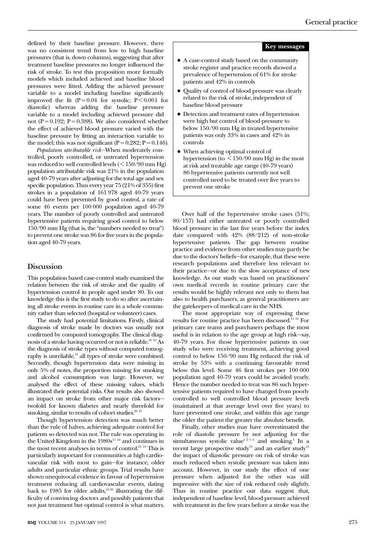defined by their baseline pressure. However, there was no consistent trend from low to high baseline pressures (that is, down columns), suggesting that after treatment baseline pressures no longer influenced the risk of stroke. To test this proposition more formally models which included achieved and baseline blood pressures were fitted. Adding the achieved pressure variable to a model including baseline significantly improved the fit  $(P = 0.04$  for systolic;  $P \le 0.001$  for diastolic) whereas adding the baseline pressure variable to a model including achieved pressure did not (P =  $0.192$ ; P =  $0.388$ ). We also considered whether the effect of achieved blood pressure varied with the baseline pressure by fitting an interaction variable to the model; this was not significant ( $P = 0.282$ ;  $P = 0.146$ ).

*Population attributable risk—*When moderately controlled, poorly controlled, or untreated hypertension was reduced to well controlled levels  $(< 150/90$  mm Hg) population attributable risk was 21% in the population aged 40-79 years after adjusting for the total age and sex specific population. Thus every year 75 (21% of 355) first strokes in a population of 161 978 aged 40-79 years could have been prevented by good control, a rate of some 46 events per 100 000 population aged 40-79 years. The number of poorly controlled and untreated hypertensive patients requiring good control to below 150/90 mm Hg (that is, the "numbers needed to treat") to prevent one stroke was 86 for five years in the population aged 40-79 years.

#### **Discussion**

This population based case-control study examined the relation between the risk of stroke and the quality of hypertension control in people aged under 80. To our knowledge this is the first study to do so after ascertaining all stroke events in routine care in a whole community rather than selected (hospital or volunteer) cases.

The study had potential limitations. Firstly, clinical diagnosis of stroke made by doctors was usually not confirmed by computed tomography. The clinical diagnosis of a stroke having occurred or not is reliable.18 19 As the diagnosis of stroke types without computed tomography is unreliable,<sup>19</sup> all types of stroke were combined. Secondly, though hypertension data were missing in only 5% of notes, the proportion missing for smoking and alcohol consumption was large. However, we analysed the effect of these missing values, which illustrated their potential risks. Our results also showed an impact on stroke from other major risk factors twofold for known diabetes and nearly threefold for smoking, similar to results of cohort studies.<sup>20 21</sup>

Though hypertension detection was much better than the rule of halves, achieving adequate control for patients so detected was not. The rule was operating in the United Kingdom in the  $1980s<sup>11 22</sup>$  and continues in the most recent analyses in terms of control.<sup>23</sup> <sup>24</sup> This is particularly important for communities at high cardiovascular risk with most to gain—for instance, older adults and particular ethnic groups. Trial results have shown unequivocal evidence in favour of hypertension treatment reducing all cardiovascular events, dating back to 1985 for older adults,<sup>25-30</sup> illustrating the difficulty of convincing doctors and possibly patients that not just treatment but optimal control is what matters.

#### **Key messages**

- A case-control study based on the community stroke register and practice records showed a prevalence of hypertension of 61% for stroke patients and 42% in controls
- Quality of control of blood pressure was clearly related to the risk of stroke, independent of baseline blood pressure
- Detection and treatment rates of hypertension were high but control of blood pressure to below 150/90 mm Hg in treated hypertensive patients was only 33% in cases and 42% in controls
- When achieving optimal control of hypertension (to  $\leq 150/90$  mm Hg) in the most at risk and treatable age range (40-79 years) 86 hypertensive patients currently not well controlled need to be treated over five years to prevent one stroke

Over half of the hypertensive stroke cases (51%; 80/157) had either untreated or poorly controlled blood pressure in the last five years before the index date compared with 42% (88/212) of non-stroke hypertensive patients. The gap between routine practice and evidence from other studies may partly be due to the doctors' beliefs—for example, that these were research populations and therefore less relevant to their practice—or due to the slow acceptance of new knowledge. As our study was based on practitioners' own medical records in routine primary care the results would be highly relevant not only to them but also to health purchasers, as general practitioners are the gatekeepers of medical care in the NHS.

The most appropriate way of expressing these results for routine practice has been discussed.31 32 For primary care teams and purchasers perhaps the most useful is in relation to the age group at high risk—say, 40-79 years. For those hypertensive patients in our study who were receiving treatment, achieving good control to below 150/90 mm Hg reduced the risk of stroke by 53% with a continuing favourable trend below this level. Some 46 first strokes per 100 000 population aged 40-79 years could be avoided yearly. Hence the number needed to treat was 86 such hypertensive patients required to have changed from poorly controlled to well controlled blood pressure levels (maintained at that average level over five years) to have prevented one stroke, and within this age range the older the patient the greater the absolute benefit.

Finally, other studies may have overestimated the role of diastolic pressure by not adjusting for the simultaneous systolic value<sup>1256</sup> and smoking.<sup>5</sup> In a recent large prospective study<sup>33</sup> and an earlier study<sup>34</sup> the impact of diastolic pressure on risk of stroke was much reduced when systolic pressure was taken into account. However, in our study the effect of one pressure when adjusted for the other was still impressive with the size of risk reduced only slightly. Thus in routine practice our data suggest that, independent of baseline level, blood pressure achieved with treatment in the few years before a stroke was the